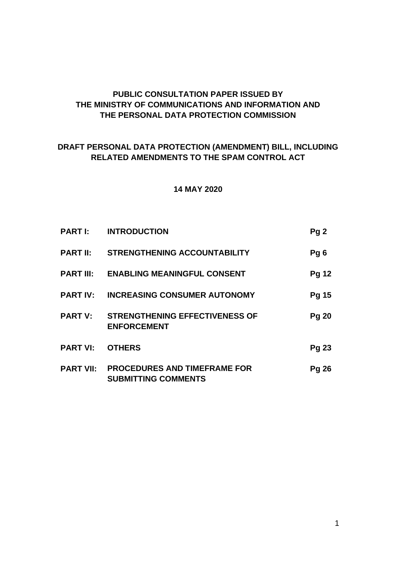# **PUBLIC CONSULTATION PAPER ISSUED BY THE MINISTRY OF COMMUNICATIONS AND INFORMATION AND THE PERSONAL DATA PROTECTION COMMISSION**

# **DRAFT PERSONAL DATA PROTECTION (AMENDMENT) BILL, INCLUDING RELATED AMENDMENTS TO THE SPAM CONTROL ACT**

#### **14 MAY 2020**

| <b>PART I:</b>   | <b>INTRODUCTION</b>                                               | Pg2          |
|------------------|-------------------------------------------------------------------|--------------|
| <b>PART II:</b>  | <b>STRENGTHENING ACCOUNTABILITY</b>                               | Pg6          |
| <b>PART III:</b> | <b>ENABLING MEANINGFUL CONSENT</b>                                | Pg 12        |
| <b>PART IV:</b>  | <b>INCREASING CONSUMER AUTONOMY</b>                               | <b>Pg 15</b> |
| <b>PART V:</b>   | <b>STRENGTHENING EFFECTIVENESS OF</b><br><b>ENFORCEMENT</b>       | <b>Pg 20</b> |
| <b>PART VI:</b>  | <b>OTHERS</b>                                                     | Pg 23        |
| <b>PART VII:</b> | <b>PROCEDURES AND TIMEFRAME FOR</b><br><b>SUBMITTING COMMENTS</b> | <b>Pg 26</b> |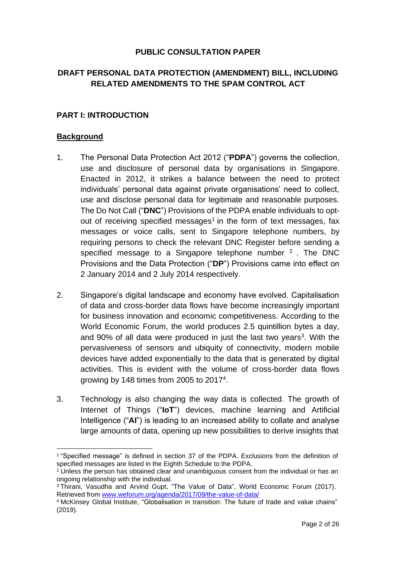#### **PUBLIC CONSULTATION PAPER**

### **DRAFT PERSONAL DATA PROTECTION (AMENDMENT) BILL, INCLUDING RELATED AMENDMENTS TO THE SPAM CONTROL ACT**

#### **PART I: INTRODUCTION**

#### **Background**

- 1. The Personal Data Protection Act 2012 ("**PDPA**") governs the collection, use and disclosure of personal data by organisations in Singapore. Enacted in 2012, it strikes a balance between the need to protect individuals' personal data against private organisations' need to collect, use and disclose personal data for legitimate and reasonable purposes. The Do Not Call ("**DNC**") Provisions of the PDPA enable individuals to optout of receiving specified messages<sup>1</sup> in the form of text messages, fax messages or voice calls, sent to Singapore telephone numbers, by requiring persons to check the relevant DNC Register before sending a specified message to a Singapore telephone number  $^2$  . The DNC Provisions and the Data Protection ("**DP**") Provisions came into effect on 2 January 2014 and 2 July 2014 respectively.
- 2. Singapore's digital landscape and economy have evolved. Capitalisation of data and cross-border data flows have become increasingly important for business innovation and economic competitiveness. According to the World Economic Forum, the world produces 2.5 quintillion bytes a day, and 90% of all data were produced in just the last two years<sup>3</sup>. With the pervasiveness of sensors and ubiquity of connectivity, modern mobile devices have added exponentially to the data that is generated by digital activities. This is evident with the volume of cross-border data flows growing by 148 times from 2005 to 2017<sup>4</sup>.
- 3. Technology is also changing the way data is collected. The growth of Internet of Things ("**IoT**") devices, machine learning and Artificial Intelligence ("**AI**") is leading to an increased ability to collate and analyse large amounts of data, opening up new possibilities to derive insights that

<sup>1</sup> "Specified message" is defined in section 37 of the PDPA. Exclusions from the definition of specified messages are listed in the Eighth Schedule to the PDPA.

 $2$  Unless the person has obtained clear and unambiguous consent from the individual or has an ongoing relationship with the individual.

<sup>&</sup>lt;sup>3</sup> Thirani, Vasudha and Arvind Gupt, "The Value of Data", World Economic Forum (2017). Retrieved from [www.weforum.org/agenda/2017/09/the-value-of-data/](http://www.weforum.org/agenda/2017/09/the-value-of-data/)

<sup>4</sup> McKinsey Global Institute, "Globalisation in transition: The future of trade and value chains" (2019).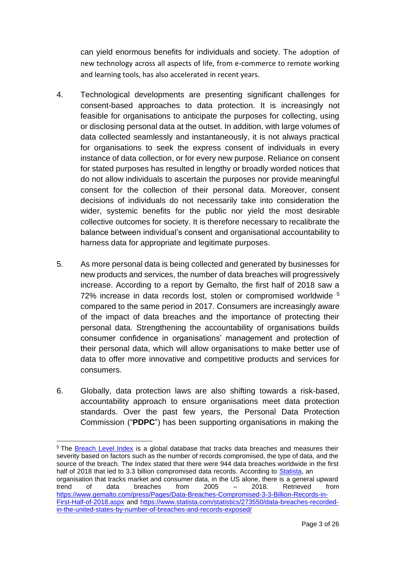can yield enormous benefits for individuals and society. The adoption of new technology across all aspects of life, from e-commerce to remote working and learning tools, has also accelerated in recent years.

- 4. Technological developments are presenting significant challenges for consent-based approaches to data protection. It is increasingly not feasible for organisations to anticipate the purposes for collecting, using or disclosing personal data at the outset. In addition, with large volumes of data collected seamlessly and instantaneously, it is not always practical for organisations to seek the express consent of individuals in every instance of data collection, or for every new purpose. Reliance on consent for stated purposes has resulted in lengthy or broadly worded notices that do not allow individuals to ascertain the purposes nor provide meaningful consent for the collection of their personal data. Moreover, consent decisions of individuals do not necessarily take into consideration the wider, systemic benefits for the public nor yield the most desirable collective outcomes for society. It is therefore necessary to recalibrate the balance between individual's consent and organisational accountability to harness data for appropriate and legitimate purposes.
- 5. As more personal data is being collected and generated by businesses for new products and services, the number of data breaches will progressively increase. According to a report by Gemalto, the first half of 2018 saw a 72% increase in data records lost, stolen or compromised worldwide <sup>5</sup> compared to the same period in 2017. Consumers are increasingly aware of the impact of data breaches and the importance of protecting their personal data. Strengthening the accountability of organisations builds consumer confidence in organisations' management and protection of their personal data, which will allow organisations to make better use of data to offer more innovative and competitive products and services for consumers.
- 6. Globally, data protection laws are also shifting towards a risk-based, accountability approach to ensure organisations meet data protection standards. Over the past few years, the Personal Data Protection Commission ("**PDPC**") has been supporting organisations in making the

<sup>&</sup>lt;sup>5</sup> The [Breach](https://www.gemalto.com/press/Pages/Data-Breaches-Compromised-3-3-Billion-Records-in-First-Half-of-2018.aspx) Level Index is a global database that tracks data breaches and measures their severity based on factors such as the number of records compromised, the type of data, and the source of the breach. The Index stated that there were 944 data breaches worldwide in the first half of 2018 that led to 3.3 billion compromised data records. According to [Statista,](https://www.statista.com/statistics/273550/data-breaches-recorded-in-the-united-states-by-number-of-breaches-and-records-exposed/) an organisation that tracks market and consumer data, in the US alone, there is a general upward<br>trend of data breaches from 2005 - 2018. Retrieved from trend of data breaches from 2005 – 2018. Retrieved from [https://www.gemalto.com/press/Pages/Data-Breaches-Compromised-3-3-Billion-Records-in-](https://www.gemalto.com/press/Pages/Data-Breaches-Compromised-3-3-Billion-Records-in-First-Half-of-2018.aspx)[First-Half-of-2018.aspx](https://www.gemalto.com/press/Pages/Data-Breaches-Compromised-3-3-Billion-Records-in-First-Half-of-2018.aspx) and [https://www.statista.com/statistics/273550/data-breaches-recorded](https://www.statista.com/statistics/273550/data-breaches-recorded-in-the-united-states-by-number-of-breaches-and-records-exposed/)[in-the-united-states-by-number-of-breaches-and-records-exposed/](https://www.statista.com/statistics/273550/data-breaches-recorded-in-the-united-states-by-number-of-breaches-and-records-exposed/)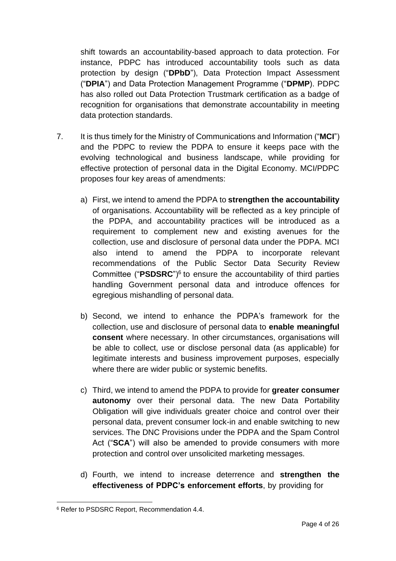shift towards an accountability-based approach to data protection. For instance, PDPC has introduced accountability tools such as data protection by design ("**DPbD**"), Data Protection Impact Assessment ("**DPIA**") and Data Protection Management Programme ("**DPMP**). PDPC has also rolled out Data Protection Trustmark certification as a badge of recognition for organisations that demonstrate accountability in meeting data protection standards.

- 7. It is thus timely for the Ministry of Communications and Information ("**MCI**") and the PDPC to review the PDPA to ensure it keeps pace with the evolving technological and business landscape, while providing for effective protection of personal data in the Digital Economy. MCI/PDPC proposes four key areas of amendments:
	- a) First, we intend to amend the PDPA to **strengthen the accountability** of organisations. Accountability will be reflected as a key principle of the PDPA, and accountability practices will be introduced as a requirement to complement new and existing avenues for the collection, use and disclosure of personal data under the PDPA. MCI also intend to amend the PDPA to incorporate relevant recommendations of the Public Sector Data Security Review Committee ("PSDSRC")<sup>6</sup> to ensure the accountability of third parties handling Government personal data and introduce offences for egregious mishandling of personal data.
	- b) Second, we intend to enhance the PDPA's framework for the collection, use and disclosure of personal data to **enable meaningful consent** where necessary. In other circumstances, organisations will be able to collect, use or disclose personal data (as applicable) for legitimate interests and business improvement purposes, especially where there are wider public or systemic benefits.
	- c) Third, we intend to amend the PDPA to provide for **greater consumer autonomy** over their personal data. The new Data Portability Obligation will give individuals greater choice and control over their personal data, prevent consumer lock-in and enable switching to new services. The DNC Provisions under the PDPA and the Spam Control Act ("**SCA**") will also be amended to provide consumers with more protection and control over unsolicited marketing messages.
	- d) Fourth, we intend to increase deterrence and **strengthen the effectiveness of PDPC's enforcement efforts**, by providing for

<sup>6</sup> Refer to PSDSRC Report, Recommendation 4.4.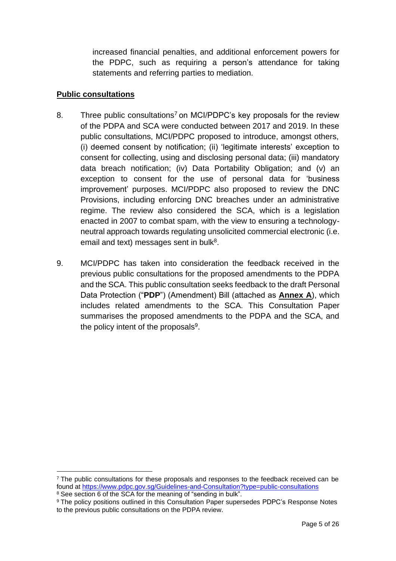increased financial penalties, and additional enforcement powers for the PDPC, such as requiring a person's attendance for taking statements and referring parties to mediation.

#### **Public consultations**

- 8. Three public consultations<sup>7</sup> on MCI/PDPC's key proposals for the review of the PDPA and SCA were conducted between 2017 and 2019. In these public consultations, MCI/PDPC proposed to introduce, amongst others, (i) deemed consent by notification; (ii) 'legitimate interests' exception to consent for collecting, using and disclosing personal data; (iii) mandatory data breach notification; (iv) Data Portability Obligation; and (v) an exception to consent for the use of personal data for 'business improvement' purposes. MCI/PDPC also proposed to review the DNC Provisions, including enforcing DNC breaches under an administrative regime. The review also considered the SCA, which is a legislation enacted in 2007 to combat spam, with the view to ensuring a technologyneutral approach towards regulating unsolicited commercial electronic (i.e. email and text) messages sent in bulk<sup>8</sup>.
- 9. MCI/PDPC has taken into consideration the feedback received in the previous public consultations for the proposed amendments to the PDPA and the SCA. This public consultation seeks feedback to the draft Personal Data Protection ("**PDP**") (Amendment) Bill (attached as **Annex A**), which includes related amendments to the SCA. This Consultation Paper summarises the proposed amendments to the PDPA and the SCA, and the policy intent of the proposals<sup>9</sup>.

 $7$  The public consultations for these proposals and responses to the feedback received can be found at <https://www.pdpc.gov.sg/Guidelines-and-Consultation?type=public-consultations>

<sup>&</sup>lt;sup>8</sup> See section 6 of the SCA for the meaning of "sending in bulk".

<sup>9</sup> The policy positions outlined in this Consultation Paper supersedes PDPC's Response Notes to the previous public consultations on the PDPA review.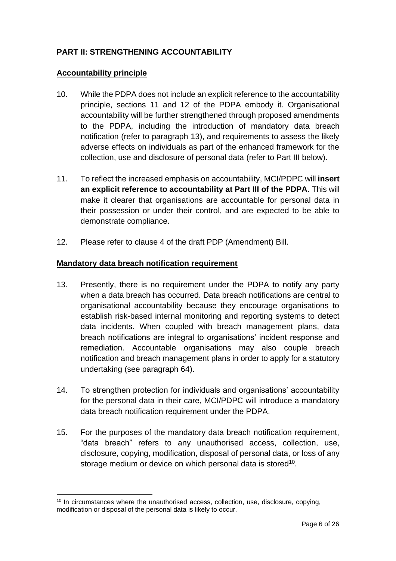### **PART II: STRENGTHENING ACCOUNTABILITY**

#### **Accountability principle**

- 10. While the PDPA does not include an explicit reference to the accountability principle, sections 11 and 12 of the PDPA embody it. Organisational accountability will be further strengthened through proposed amendments to the PDPA, including the introduction of mandatory data breach notification (refer to paragraph [13\)](#page-5-0), and requirements to assess the likely adverse effects on individuals as part of the enhanced framework for the collection, use and disclosure of personal data (refer to Part III below).
- 11. To reflect the increased emphasis on accountability, MCI/PDPC will **insert an explicit reference to accountability at Part III of the PDPA**. This will make it clearer that organisations are accountable for personal data in their possession or under their control, and are expected to be able to demonstrate compliance.
- 12. Please refer to clause 4 of the draft PDP (Amendment) Bill.

#### **Mandatory data breach notification requirement**

- <span id="page-5-0"></span>13. Presently, there is no requirement under the PDPA to notify any party when a data breach has occurred. Data breach notifications are central to organisational accountability because they encourage organisations to establish risk-based internal monitoring and reporting systems to detect data incidents. When coupled with breach management plans, data breach notifications are integral to organisations' incident response and remediation. Accountable organisations may also couple breach notification and breach management plans in order to apply for a statutory undertaking (see paragraph 64).
- 14. To strengthen protection for individuals and organisations' accountability for the personal data in their care, MCI/PDPC will introduce a mandatory data breach notification requirement under the PDPA.
- 15. For the purposes of the mandatory data breach notification requirement, "data breach" refers to any unauthorised access, collection, use, disclosure, copying, modification, disposal of personal data, or loss of any storage medium or device on which personal data is stored<sup>10</sup>.

<sup>&</sup>lt;sup>10</sup> In circumstances where the unauthorised access, collection, use, disclosure, copying, modification or disposal of the personal data is likely to occur.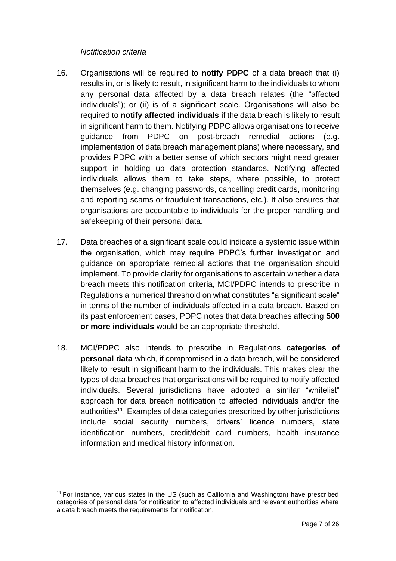#### *Notification criteria*

- 16. Organisations will be required to **notify PDPC** of a data breach that (i) results in, or is likely to result, in significant harm to the individuals to whom any personal data affected by a data breach relates (the "affected individuals"); or (ii) is of a significant scale. Organisations will also be required to **notify affected individuals** if the data breach is likely to result in significant harm to them. Notifying PDPC allows organisations to receive guidance from PDPC on post-breach remedial actions (e.g. implementation of data breach management plans) where necessary, and provides PDPC with a better sense of which sectors might need greater support in holding up data protection standards. Notifying affected individuals allows them to take steps, where possible, to protect themselves (e.g. changing passwords, cancelling credit cards, monitoring and reporting scams or fraudulent transactions, etc.). It also ensures that organisations are accountable to individuals for the proper handling and safekeeping of their personal data.
- 17. Data breaches of a significant scale could indicate a systemic issue within the organisation, which may require PDPC's further investigation and guidance on appropriate remedial actions that the organisation should implement. To provide clarity for organisations to ascertain whether a data breach meets this notification criteria, MCI/PDPC intends to prescribe in Regulations a numerical threshold on what constitutes "a significant scale" in terms of the number of individuals affected in a data breach. Based on its past enforcement cases, PDPC notes that data breaches affecting **500 or more individuals** would be an appropriate threshold.
- 18. MCI/PDPC also intends to prescribe in Regulations **categories of personal data** which, if compromised in a data breach, will be considered likely to result in significant harm to the individuals. This makes clear the types of data breaches that organisations will be required to notify affected individuals. Several jurisdictions have adopted a similar "whitelist" approach for data breach notification to affected individuals and/or the authorities<sup>11</sup>. Examples of data categories prescribed by other jurisdictions include social security numbers, drivers' licence numbers, state identification numbers, credit/debit card numbers, health insurance information and medical history information.

<sup>&</sup>lt;sup>11</sup> For instance, various states in the US (such as California and Washington) have prescribed categories of personal data for notification to affected individuals and relevant authorities where a data breach meets the requirements for notification.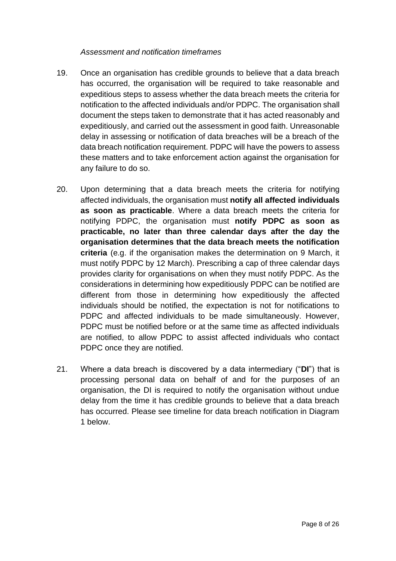#### *Assessment and notification timeframes*

- 19. Once an organisation has credible grounds to believe that a data breach has occurred, the organisation will be required to take reasonable and expeditious steps to assess whether the data breach meets the criteria for notification to the affected individuals and/or PDPC. The organisation shall document the steps taken to demonstrate that it has acted reasonably and expeditiously, and carried out the assessment in good faith. Unreasonable delay in assessing or notification of data breaches will be a breach of the data breach notification requirement. PDPC will have the powers to assess these matters and to take enforcement action against the organisation for any failure to do so.
- 20. Upon determining that a data breach meets the criteria for notifying affected individuals, the organisation must **notify all affected individuals as soon as practicable**. Where a data breach meets the criteria for notifying PDPC, the organisation must **notify PDPC as soon as practicable, no later than three calendar days after the day the organisation determines that the data breach meets the notification criteria** (e.g. if the organisation makes the determination on 9 March, it must notify PDPC by 12 March). Prescribing a cap of three calendar days provides clarity for organisations on when they must notify PDPC. As the considerations in determining how expeditiously PDPC can be notified are different from those in determining how expeditiously the affected individuals should be notified, the expectation is not for notifications to PDPC and affected individuals to be made simultaneously. However, PDPC must be notified before or at the same time as affected individuals are notified, to allow PDPC to assist affected individuals who contact PDPC once they are notified.
- 21. Where a data breach is discovered by a data intermediary ("**DI**") that is processing personal data on behalf of and for the purposes of an organisation, the DI is required to notify the organisation without undue delay from the time it has credible grounds to believe that a data breach has occurred. Please see timeline for data breach notification in Diagram 1 below.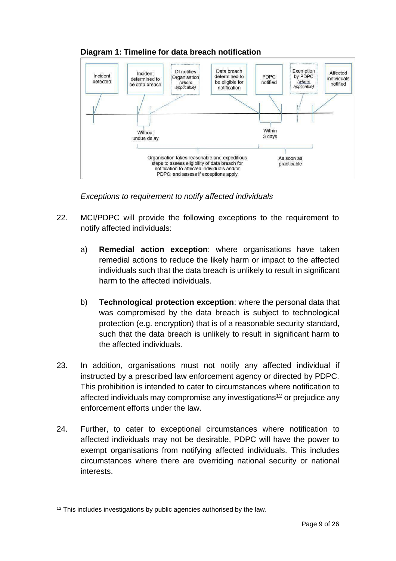

**Diagram 1: Timeline for data breach notification**

*Exceptions to requirement to notify affected individuals*

- 22. MCI/PDPC will provide the following exceptions to the requirement to notify affected individuals:
	- a) **Remedial action exception**: where organisations have taken remedial actions to reduce the likely harm or impact to the affected individuals such that the data breach is unlikely to result in significant harm to the affected individuals.
	- b) **Technological protection exception**: where the personal data that was compromised by the data breach is subject to technological protection (e.g. encryption) that is of a reasonable security standard, such that the data breach is unlikely to result in significant harm to the affected individuals.
- 23. In addition, organisations must not notify any affected individual if instructed by a prescribed law enforcement agency or directed by PDPC. This prohibition is intended to cater to circumstances where notification to affected individuals may compromise any investigations<sup>12</sup> or prejudice any enforcement efforts under the law.
- 24. Further, to cater to exceptional circumstances where notification to affected individuals may not be desirable, PDPC will have the power to exempt organisations from notifying affected individuals. This includes circumstances where there are overriding national security or national interests.

<sup>&</sup>lt;sup>12</sup> This includes investigations by public agencies authorised by the law.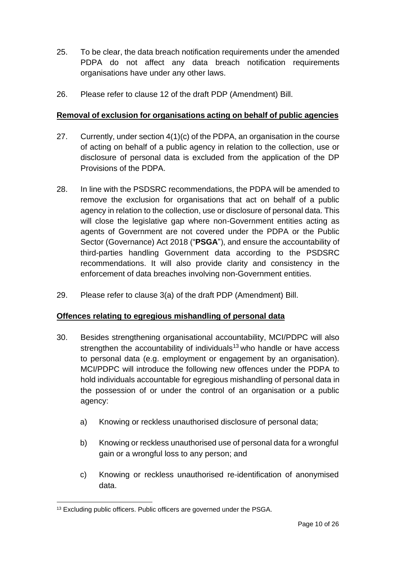- 25. To be clear, the data breach notification requirements under the amended PDPA do not affect any data breach notification requirements organisations have under any other laws.
- 26. Please refer to clause 12 of the draft PDP (Amendment) Bill.

## **Removal of exclusion for organisations acting on behalf of public agencies**

- 27. Currently, under section 4(1)(c) of the PDPA, an organisation in the course of acting on behalf of a public agency in relation to the collection, use or disclosure of personal data is excluded from the application of the DP Provisions of the PDPA.
- 28. In line with the PSDSRC recommendations, the PDPA will be amended to remove the exclusion for organisations that act on behalf of a public agency in relation to the collection, use or disclosure of personal data. This will close the legislative gap where non-Government entities acting as agents of Government are not covered under the PDPA or the Public Sector (Governance) Act 2018 ("**PSGA**"), and ensure the accountability of third-parties handling Government data according to the PSDSRC recommendations. It will also provide clarity and consistency in the enforcement of data breaches involving non-Government entities.
- 29. Please refer to clause 3(a) of the draft PDP (Amendment) Bill.

### **Offences relating to egregious mishandling of personal data**

- 30. Besides strengthening organisational accountability, MCI/PDPC will also strengthen the accountability of individuals<sup>13</sup> who handle or have access to personal data (e.g. employment or engagement by an organisation). MCI/PDPC will introduce the following new offences under the PDPA to hold individuals accountable for egregious mishandling of personal data in the possession of or under the control of an organisation or a public agency:
	- a) Knowing or reckless unauthorised disclosure of personal data;
	- b) Knowing or reckless unauthorised use of personal data for a wrongful gain or a wrongful loss to any person; and
	- c) Knowing or reckless unauthorised re-identification of anonymised data.

<sup>&</sup>lt;sup>13</sup> Excluding public officers. Public officers are governed under the PSGA.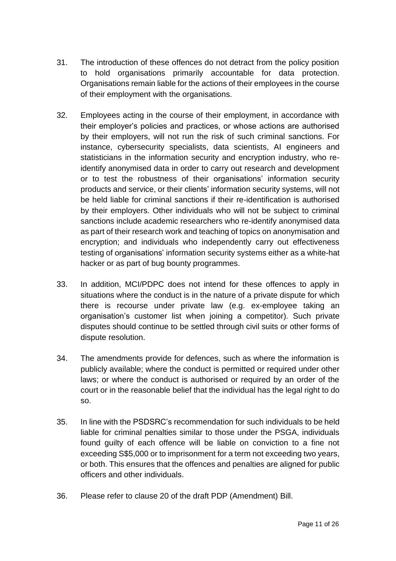- 31. The introduction of these offences do not detract from the policy position to hold organisations primarily accountable for data protection. Organisations remain liable for the actions of their employees in the course of their employment with the organisations.
- 32. Employees acting in the course of their employment, in accordance with their employer's policies and practices, or whose actions are authorised by their employers, will not run the risk of such criminal sanctions. For instance, cybersecurity specialists, data scientists, AI engineers and statisticians in the information security and encryption industry, who reidentify anonymised data in order to carry out research and development or to test the robustness of their organisations' information security products and service, or their clients' information security systems, will not be held liable for criminal sanctions if their re-identification is authorised by their employers. Other individuals who will not be subject to criminal sanctions include academic researchers who re-identify anonymised data as part of their research work and teaching of topics on anonymisation and encryption; and individuals who independently carry out effectiveness testing of organisations' information security systems either as a white-hat hacker or as part of bug bounty programmes.
- 33. In addition, MCI/PDPC does not intend for these offences to apply in situations where the conduct is in the nature of a private dispute for which there is recourse under private law (e.g. ex-employee taking an organisation's customer list when joining a competitor). Such private disputes should continue to be settled through civil suits or other forms of dispute resolution.
- 34. The amendments provide for defences, such as where the information is publicly available; where the conduct is permitted or required under other laws; or where the conduct is authorised or required by an order of the court or in the reasonable belief that the individual has the legal right to do so.
- 35. In line with the PSDSRC's recommendation for such individuals to be held liable for criminal penalties similar to those under the PSGA, individuals found guilty of each offence will be liable on conviction to a fine not exceeding S\$5,000 or to imprisonment for a term not exceeding two years, or both. This ensures that the offences and penalties are aligned for public officers and other individuals.
- 36. Please refer to clause 20 of the draft PDP (Amendment) Bill.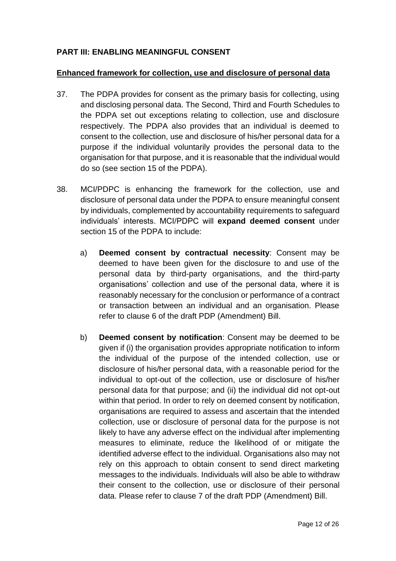### **PART III: ENABLING MEANINGFUL CONSENT**

#### **Enhanced framework for collection, use and disclosure of personal data**

- 37. The PDPA provides for consent as the primary basis for collecting, using and disclosing personal data. The Second, Third and Fourth Schedules to the PDPA set out exceptions relating to collection, use and disclosure respectively. The PDPA also provides that an individual is deemed to consent to the collection, use and disclosure of his/her personal data for a purpose if the individual voluntarily provides the personal data to the organisation for that purpose, and it is reasonable that the individual would do so (see section 15 of the PDPA).
- 38. MCI/PDPC is enhancing the framework for the collection, use and disclosure of personal data under the PDPA to ensure meaningful consent by individuals, complemented by accountability requirements to safeguard individuals' interests. MCI/PDPC will **expand deemed consent** under section 15 of the PDPA to include:
	- a) **Deemed consent by contractual necessity**: Consent may be deemed to have been given for the disclosure to and use of the personal data by third-party organisations, and the third-party organisations' collection and use of the personal data, where it is reasonably necessary for the conclusion or performance of a contract or transaction between an individual and an organisation. Please refer to clause 6 of the draft PDP (Amendment) Bill.
	- b) **Deemed consent by notification**: Consent may be deemed to be given if (i) the organisation provides appropriate notification to inform the individual of the purpose of the intended collection, use or disclosure of his/her personal data, with a reasonable period for the individual to opt-out of the collection, use or disclosure of his/her personal data for that purpose; and (ii) the individual did not opt-out within that period. In order to rely on deemed consent by notification, organisations are required to assess and ascertain that the intended collection, use or disclosure of personal data for the purpose is not likely to have any adverse effect on the individual after implementing measures to eliminate, reduce the likelihood of or mitigate the identified adverse effect to the individual. Organisations also may not rely on this approach to obtain consent to send direct marketing messages to the individuals. Individuals will also be able to withdraw their consent to the collection, use or disclosure of their personal data. Please refer to clause 7 of the draft PDP (Amendment) Bill.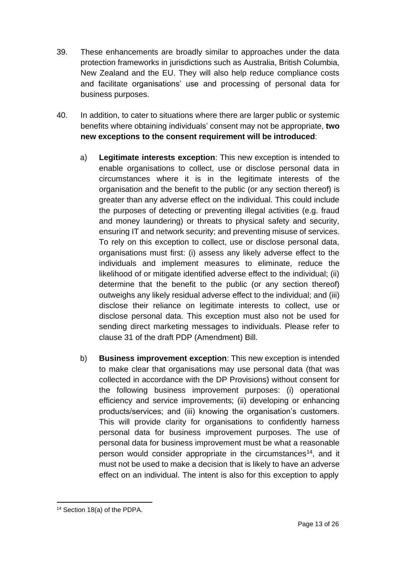- 39. These enhancements are broadly similar to approaches under the data protection frameworks in jurisdictions such as Australia, British Columbia, New Zealand and the EU. They will also help reduce compliance costs and facilitate organisations' use and processing of personal data for business purposes.
- 40. In addition, to cater to situations where there are larger public or systemic benefits where obtaining individuals' consent may not be appropriate, **two new exceptions to the consent requirement will be introduced**:
	- a) **Legitimate interests exception**: This new exception is intended to enable organisations to collect, use or disclose personal data in circumstances where it is in the legitimate interests of the organisation and the benefit to the public (or any section thereof) is greater than any adverse effect on the individual. This could include the purposes of detecting or preventing illegal activities (e.g. fraud and money laundering) or threats to physical safety and security, ensuring IT and network security; and preventing misuse of services. To rely on this exception to collect, use or disclose personal data, organisations must first: (i) assess any likely adverse effect to the individuals and implement measures to eliminate, reduce the likelihood of or mitigate identified adverse effect to the individual; (ii) determine that the benefit to the public (or any section thereof) outweighs any likely residual adverse effect to the individual; and (iii) disclose their reliance on legitimate interests to collect, use or disclose personal data. This exception must also not be used for sending direct marketing messages to individuals. Please refer to clause 31 of the draft PDP (Amendment) Bill.
	- b) **Business improvement exception**: This new exception is intended to make clear that organisations may use personal data (that was collected in accordance with the DP Provisions) without consent for the following business improvement purposes: (i) operational efficiency and service improvements; (ii) developing or enhancing products/services; and (iii) knowing the organisation's customers. This will provide clarity for organisations to confidently harness personal data for business improvement purposes. The use of personal data for business improvement must be what a reasonable person would consider appropriate in the circumstances<sup>14</sup>, and it must not be used to make a decision that is likely to have an adverse effect on an individual. The intent is also for this exception to apply

<sup>14</sup> Section 18(a) of the PDPA.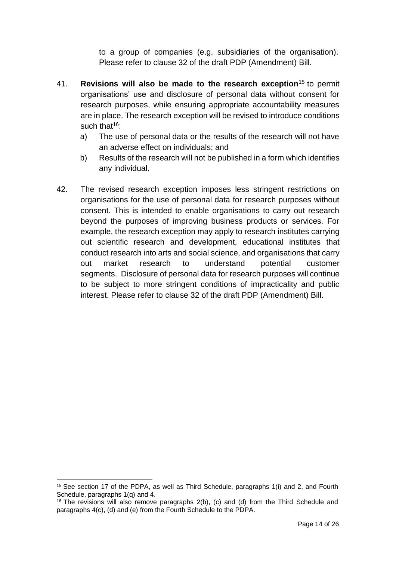to a group of companies (e.g. subsidiaries of the organisation). Please refer to clause 32 of the draft PDP (Amendment) Bill.

- 41. **Revisions will also be made to the research exception**<sup>15</sup> to permit organisations' use and disclosure of personal data without consent for research purposes, while ensuring appropriate accountability measures are in place. The research exception will be revised to introduce conditions such that  $16$ :
	- a) The use of personal data or the results of the research will not have an adverse effect on individuals; and
	- b) Results of the research will not be published in a form which identifies any individual.
- 42. The revised research exception imposes less stringent restrictions on organisations for the use of personal data for research purposes without consent. This is intended to enable organisations to carry out research beyond the purposes of improving business products or services. For example, the research exception may apply to research institutes carrying out scientific research and development, educational institutes that conduct research into arts and social science, and organisations that carry out market research to understand potential customer segments. Disclosure of personal data for research purposes will continue to be subject to more stringent conditions of impracticality and public interest. Please refer to clause 32 of the draft PDP (Amendment) Bill.

<sup>15</sup> See section 17 of the PDPA, as well as Third Schedule, paragraphs 1(i) and 2, and Fourth Schedule, paragraphs 1(q) and 4.

<sup>&</sup>lt;sup>16</sup> The revisions will also remove paragraphs 2(b), (c) and (d) from the Third Schedule and paragraphs 4(c), (d) and (e) from the Fourth Schedule to the PDPA.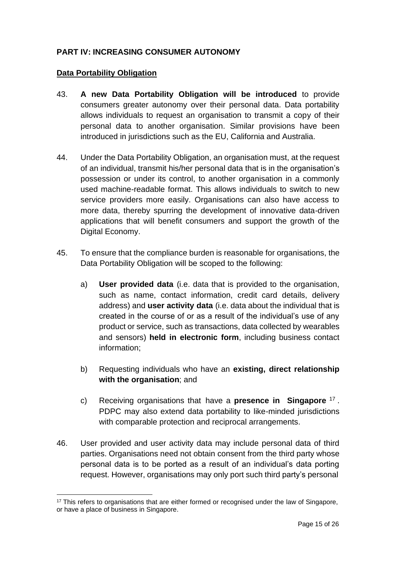### **PART IV: INCREASING CONSUMER AUTONOMY**

### **Data Portability Obligation**

- 43. **A new Data Portability Obligation will be introduced** to provide consumers greater autonomy over their personal data. Data portability allows individuals to request an organisation to transmit a copy of their personal data to another organisation. Similar provisions have been introduced in jurisdictions such as the EU, California and Australia.
- 44. Under the Data Portability Obligation, an organisation must, at the request of an individual, transmit his/her personal data that is in the organisation's possession or under its control, to another organisation in a commonly used machine-readable format. This allows individuals to switch to new service providers more easily. Organisations can also have access to more data, thereby spurring the development of innovative data-driven applications that will benefit consumers and support the growth of the Digital Economy.
- 45. To ensure that the compliance burden is reasonable for organisations, the Data Portability Obligation will be scoped to the following:
	- a) **User provided data** (i.e. data that is provided to the organisation, such as name, contact information, credit card details, delivery address) and **user activity data** (i.e. data about the individual that is created in the course of or as a result of the individual's use of any product or service, such as transactions, data collected by wearables and sensors) **held in electronic form**, including business contact information;
	- b) Requesting individuals who have an **existing, direct relationship with the organisation**; and
	- c) Receiving organisations that have a **presence in Singapore** <sup>17</sup> . PDPC may also extend data portability to like-minded jurisdictions with comparable protection and reciprocal arrangements.
- 46. User provided and user activity data may include personal data of third parties. Organisations need not obtain consent from the third party whose personal data is to be ported as a result of an individual's data porting request. However, organisations may only port such third party's personal

<sup>&</sup>lt;sup>17</sup> This refers to organisations that are either formed or recognised under the law of Singapore, or have a place of business in Singapore.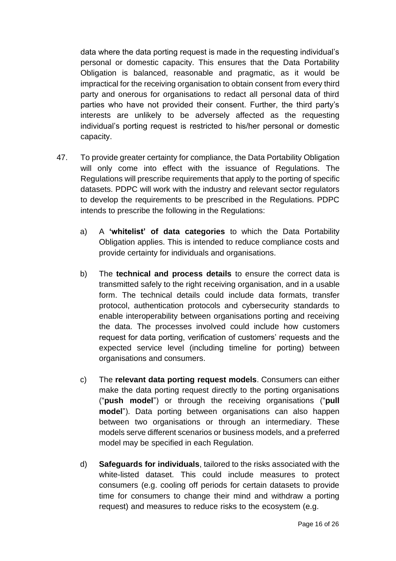data where the data porting request is made in the requesting individual's personal or domestic capacity. This ensures that the Data Portability Obligation is balanced, reasonable and pragmatic, as it would be impractical for the receiving organisation to obtain consent from every third party and onerous for organisations to redact all personal data of third parties who have not provided their consent. Further, the third party's interests are unlikely to be adversely affected as the requesting individual's porting request is restricted to his/her personal or domestic capacity.

- 47. To provide greater certainty for compliance, the Data Portability Obligation will only come into effect with the issuance of Regulations. The Regulations will prescribe requirements that apply to the porting of specific datasets. PDPC will work with the industry and relevant sector regulators to develop the requirements to be prescribed in the Regulations. PDPC intends to prescribe the following in the Regulations:
	- a) A **'whitelist' of data categories** to which the Data Portability Obligation applies. This is intended to reduce compliance costs and provide certainty for individuals and organisations.
	- b) The **technical and process details** to ensure the correct data is transmitted safely to the right receiving organisation, and in a usable form. The technical details could include data formats, transfer protocol, authentication protocols and cybersecurity standards to enable interoperability between organisations porting and receiving the data. The processes involved could include how customers request for data porting, verification of customers' requests and the expected service level (including timeline for porting) between organisations and consumers.
	- c) The **relevant data porting request models**. Consumers can either make the data porting request directly to the porting organisations ("**push model**") or through the receiving organisations ("**pull model**"). Data porting between organisations can also happen between two organisations or through an intermediary. These models serve different scenarios or business models, and a preferred model may be specified in each Regulation.
	- d) **Safeguards for individuals**, tailored to the risks associated with the white-listed dataset. This could include measures to protect consumers (e.g. cooling off periods for certain datasets to provide time for consumers to change their mind and withdraw a porting request) and measures to reduce risks to the ecosystem (e.g.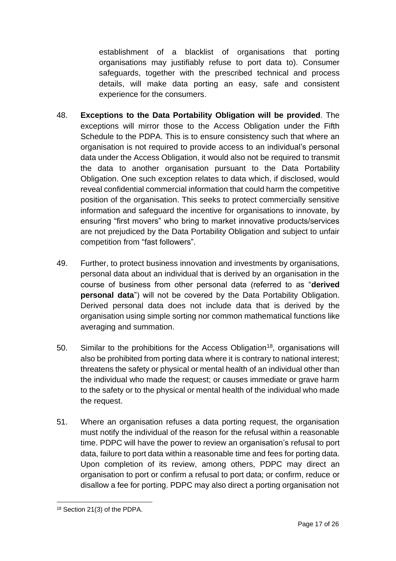establishment of a blacklist of organisations that porting organisations may justifiably refuse to port data to). Consumer safeguards, together with the prescribed technical and process details, will make data porting an easy, safe and consistent experience for the consumers.

- 48. **Exceptions to the Data Portability Obligation will be provided**. The exceptions will mirror those to the Access Obligation under the Fifth Schedule to the PDPA. This is to ensure consistency such that where an organisation is not required to provide access to an individual's personal data under the Access Obligation, it would also not be required to transmit the data to another organisation pursuant to the Data Portability Obligation. One such exception relates to data which, if disclosed, would reveal confidential commercial information that could harm the competitive position of the organisation. This seeks to protect commercially sensitive information and safeguard the incentive for organisations to innovate, by ensuring "first movers" who bring to market innovative products/services are not prejudiced by the Data Portability Obligation and subject to unfair competition from "fast followers".
- 49. Further, to protect business innovation and investments by organisations, personal data about an individual that is derived by an organisation in the course of business from other personal data (referred to as "**derived personal data**") will not be covered by the Data Portability Obligation. Derived personal data does not include data that is derived by the organisation using simple sorting nor common mathematical functions like averaging and summation.
- 50. Similar to the prohibitions for the Access Obligation<sup>18</sup>, organisations will also be prohibited from porting data where it is contrary to national interest; threatens the safety or physical or mental health of an individual other than the individual who made the request; or causes immediate or grave harm to the safety or to the physical or mental health of the individual who made the request.
- 51. Where an organisation refuses a data porting request, the organisation must notify the individual of the reason for the refusal within a reasonable time. PDPC will have the power to review an organisation's refusal to port data, failure to port data within a reasonable time and fees for porting data. Upon completion of its review, among others, PDPC may direct an organisation to port or confirm a refusal to port data; or confirm, reduce or disallow a fee for porting. PDPC may also direct a porting organisation not

<sup>18</sup> Section 21(3) of the PDPA.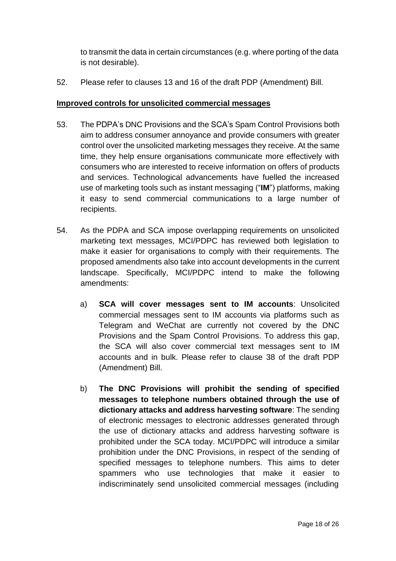to transmit the data in certain circumstances (e.g. where porting of the data is not desirable).

52. Please refer to clauses 13 and 16 of the draft PDP (Amendment) Bill.

### **Improved controls for unsolicited commercial messages**

- 53. The PDPA's DNC Provisions and the SCA's Spam Control Provisions both aim to address consumer annoyance and provide consumers with greater control over the unsolicited marketing messages they receive. At the same time, they help ensure organisations communicate more effectively with consumers who are interested to receive information on offers of products and services. Technological advancements have fuelled the increased use of marketing tools such as instant messaging ("**IM**") platforms, making it easy to send commercial communications to a large number of recipients.
- 54. As the PDPA and SCA impose overlapping requirements on unsolicited marketing text messages, MCI/PDPC has reviewed both legislation to make it easier for organisations to comply with their requirements. The proposed amendments also take into account developments in the current landscape. Specifically, MCI/PDPC intend to make the following amendments:
	- a) **SCA will cover messages sent to IM accounts**: Unsolicited commercial messages sent to IM accounts via platforms such as Telegram and WeChat are currently not covered by the DNC Provisions and the Spam Control Provisions. To address this gap, the SCA will also cover commercial text messages sent to IM accounts and in bulk. Please refer to clause 38 of the draft PDP (Amendment) Bill.
	- b) **The DNC Provisions will prohibit the sending of specified messages to telephone numbers obtained through the use of dictionary attacks and address harvesting software**: The sending of electronic messages to electronic addresses generated through the use of dictionary attacks and address harvesting software is prohibited under the SCA today. MCI/PDPC will introduce a similar prohibition under the DNC Provisions, in respect of the sending of specified messages to telephone numbers. This aims to deter spammers who use technologies that make it easier to indiscriminately send unsolicited commercial messages (including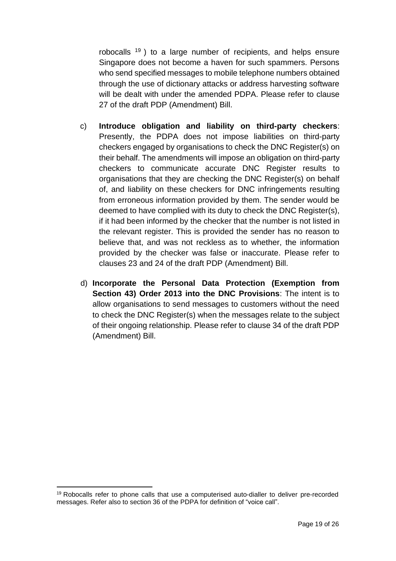robocalls <sup>19</sup>) to a large number of recipients, and helps ensure Singapore does not become a haven for such spammers. Persons who send specified messages to mobile telephone numbers obtained through the use of dictionary attacks or address harvesting software will be dealt with under the amended PDPA. Please refer to clause 27 of the draft PDP (Amendment) Bill.

- c) **Introduce obligation and liability on third-party checkers**: Presently, the PDPA does not impose liabilities on third-party checkers engaged by organisations to check the DNC Register(s) on their behalf. The amendments will impose an obligation on third-party checkers to communicate accurate DNC Register results to organisations that they are checking the DNC Register(s) on behalf of, and liability on these checkers for DNC infringements resulting from erroneous information provided by them. The sender would be deemed to have complied with its duty to check the DNC Register(s), if it had been informed by the checker that the number is not listed in the relevant register. This is provided the sender has no reason to believe that, and was not reckless as to whether, the information provided by the checker was false or inaccurate. Please refer to clauses 23 and 24 of the draft PDP (Amendment) Bill.
- d) **Incorporate the Personal Data Protection (Exemption from Section 43) Order 2013 into the DNC Provisions**: The intent is to allow organisations to send messages to customers without the need to check the DNC Register(s) when the messages relate to the subject of their ongoing relationship. Please refer to clause 34 of the draft PDP (Amendment) Bill.

<sup>&</sup>lt;sup>19</sup> Robocalls refer to phone calls that use a computerised auto-dialler to deliver pre-recorded messages. Refer also to section 36 of the PDPA for definition of "voice call".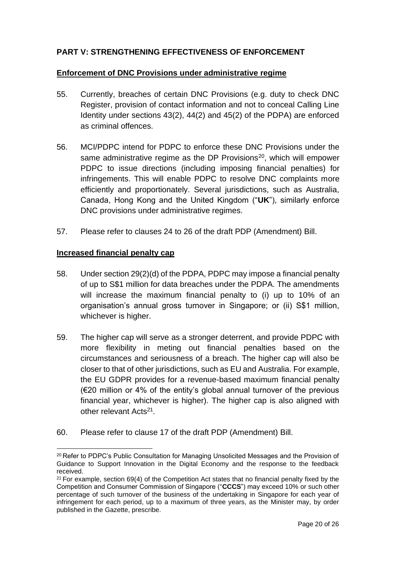### **PART V: STRENGTHENING EFFECTIVENESS OF ENFORCEMENT**

### **Enforcement of DNC Provisions under administrative regime**

- 55. Currently, breaches of certain DNC Provisions (e.g. duty to check DNC Register, provision of contact information and not to conceal Calling Line Identity under sections 43(2), 44(2) and 45(2) of the PDPA) are enforced as criminal offences.
- 56. MCI/PDPC intend for PDPC to enforce these DNC Provisions under the same administrative regime as the DP Provisions<sup>20</sup>, which will empower PDPC to issue directions (including imposing financial penalties) for infringements. This will enable PDPC to resolve DNC complaints more efficiently and proportionately. Several jurisdictions, such as Australia, Canada, Hong Kong and the United Kingdom ("**UK**"), similarly enforce DNC provisions under administrative regimes.
- 57. Please refer to clauses 24 to 26 of the draft PDP (Amendment) Bill.

#### **Increased financial penalty cap**

- 58. Under section 29(2)(d) of the PDPA, PDPC may impose a financial penalty of up to S\$1 million for data breaches under the PDPA. The amendments will increase the maximum financial penalty to (i) up to 10% of an organisation's annual gross turnover in Singapore; or (ii) S\$1 million, whichever is higher.
- 59. The higher cap will serve as a stronger deterrent, and provide PDPC with more flexibility in meting out financial penalties based on the circumstances and seriousness of a breach. The higher cap will also be closer to that of other jurisdictions, such as EU and Australia. For example, the EU GDPR provides for a revenue-based maximum financial penalty (€20 million or 4% of the entity's global annual turnover of the previous financial year, whichever is higher). The higher cap is also aligned with other relevant Acts<sup>21</sup>.
- 60. Please refer to clause 17 of the draft PDP (Amendment) Bill.

<sup>&</sup>lt;sup>20</sup> Refer to PDPC's Public Consultation for Managing Unsolicited Messages and the Provision of Guidance to Support Innovation in the Digital Economy and the response to the feedback received.

<sup>&</sup>lt;sup>21</sup> For example, section 69(4) of the Competition Act states that no financial penalty fixed by the Competition and Consumer Commission of Singapore ("**CCCS**") may exceed 10% or such other percentage of such turnover of the business of the undertaking in Singapore for each year of infringement for each period, up to a maximum of three years, as the Minister may, by order published in the Gazette, prescribe.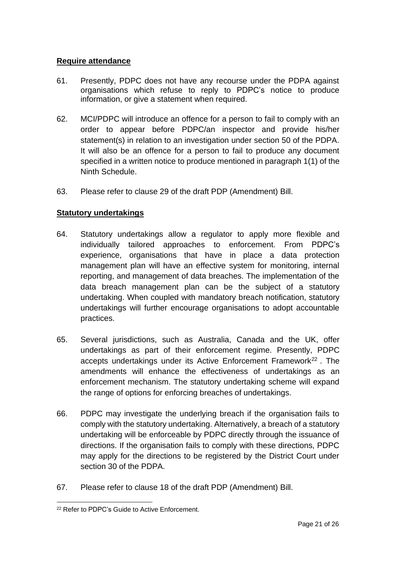### **Require attendance**

- 61. Presently, PDPC does not have any recourse under the PDPA against organisations which refuse to reply to PDPC's notice to produce information, or give a statement when required.
- 62. MCI/PDPC will introduce an offence for a person to fail to comply with an order to appear before PDPC/an inspector and provide his/her statement(s) in relation to an investigation under section 50 of the PDPA. It will also be an offence for a person to fail to produce any document specified in a written notice to produce mentioned in paragraph 1(1) of the Ninth Schedule.
- 63. Please refer to clause 29 of the draft PDP (Amendment) Bill.

#### **Statutory undertakings**

- 64. Statutory undertakings allow a regulator to apply more flexible and individually tailored approaches to enforcement. From PDPC's experience, organisations that have in place a data protection management plan will have an effective system for monitoring, internal reporting, and management of data breaches. The implementation of the data breach management plan can be the subject of a statutory undertaking. When coupled with mandatory breach notification, statutory undertakings will further encourage organisations to adopt accountable practices.
- 65. Several jurisdictions, such as Australia, Canada and the UK, offer undertakings as part of their enforcement regime. Presently, PDPC accepts undertakings under its Active Enforcement Framework<sup>22</sup>. The amendments will enhance the effectiveness of undertakings as an enforcement mechanism. The statutory undertaking scheme will expand the range of options for enforcing breaches of undertakings.
- 66. PDPC may investigate the underlying breach if the organisation fails to comply with the statutory undertaking. Alternatively, a breach of a statutory undertaking will be enforceable by PDPC directly through the issuance of directions. If the organisation fails to comply with these directions, PDPC may apply for the directions to be registered by the District Court under section 30 of the PDPA.
- 67. Please refer to clause 18 of the draft PDP (Amendment) Bill.

<sup>22</sup> Refer to PDPC's Guide to Active Enforcement.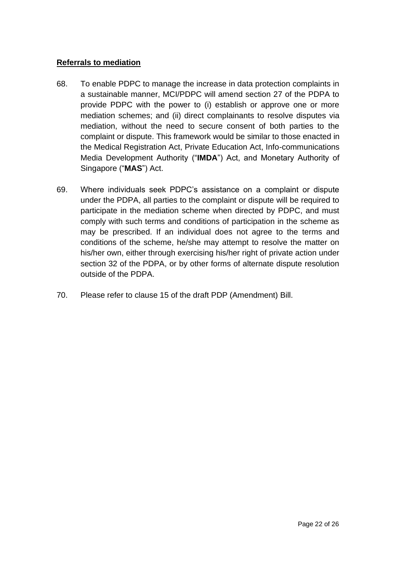#### **Referrals to mediation**

- 68. To enable PDPC to manage the increase in data protection complaints in a sustainable manner, MCI/PDPC will amend section 27 of the PDPA to provide PDPC with the power to (i) establish or approve one or more mediation schemes; and (ii) direct complainants to resolve disputes via mediation, without the need to secure consent of both parties to the complaint or dispute. This framework would be similar to those enacted in the Medical Registration Act, Private Education Act, Info-communications Media Development Authority ("**IMDA**") Act, and Monetary Authority of Singapore ("**MAS**") Act.
- 69. Where individuals seek PDPC's assistance on a complaint or dispute under the PDPA, all parties to the complaint or dispute will be required to participate in the mediation scheme when directed by PDPC, and must comply with such terms and conditions of participation in the scheme as may be prescribed. If an individual does not agree to the terms and conditions of the scheme, he/she may attempt to resolve the matter on his/her own, either through exercising his/her right of private action under section 32 of the PDPA, or by other forms of alternate dispute resolution outside of the PDPA.
- 70. Please refer to clause 15 of the draft PDP (Amendment) Bill.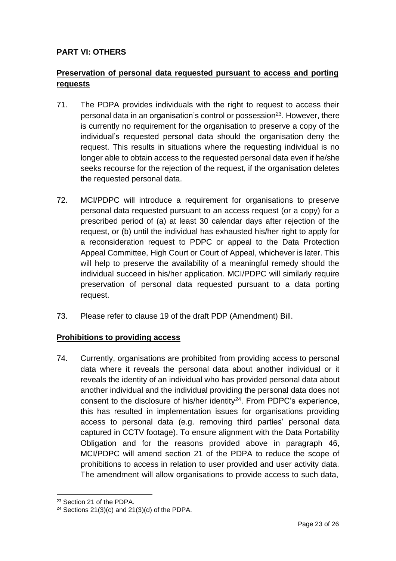### **PART VI: OTHERS**

## **Preservation of personal data requested pursuant to access and porting requests**

- 71. The PDPA provides individuals with the right to request to access their personal data in an organisation's control or possession<sup>23</sup>. However, there is currently no requirement for the organisation to preserve a copy of the individual's requested personal data should the organisation deny the request. This results in situations where the requesting individual is no longer able to obtain access to the requested personal data even if he/she seeks recourse for the rejection of the request, if the organisation deletes the requested personal data.
- 72. MCI/PDPC will introduce a requirement for organisations to preserve personal data requested pursuant to an access request (or a copy) for a prescribed period of (a) at least 30 calendar days after rejection of the request, or (b) until the individual has exhausted his/her right to apply for a reconsideration request to PDPC or appeal to the Data Protection Appeal Committee, High Court or Court of Appeal, whichever is later. This will help to preserve the availability of a meaningful remedy should the individual succeed in his/her application. MCI/PDPC will similarly require preservation of personal data requested pursuant to a data porting request.
- 73. Please refer to clause 19 of the draft PDP (Amendment) Bill.

### **Prohibitions to providing access**

74. Currently, organisations are prohibited from providing access to personal data where it reveals the personal data about another individual or it reveals the identity of an individual who has provided personal data about another individual and the individual providing the personal data does not consent to the disclosure of his/her identity $^{24}$ . From PDPC's experience, this has resulted in implementation issues for organisations providing access to personal data (e.g. removing third parties' personal data captured in CCTV footage). To ensure alignment with the Data Portability Obligation and for the reasons provided above in paragraph 46, MCI/PDPC will amend section 21 of the PDPA to reduce the scope of prohibitions to access in relation to user provided and user activity data. The amendment will allow organisations to provide access to such data,

<sup>23</sup> Section 21 of the PDPA.

 $24$  Sections 21(3)(c) and 21(3)(d) of the PDPA.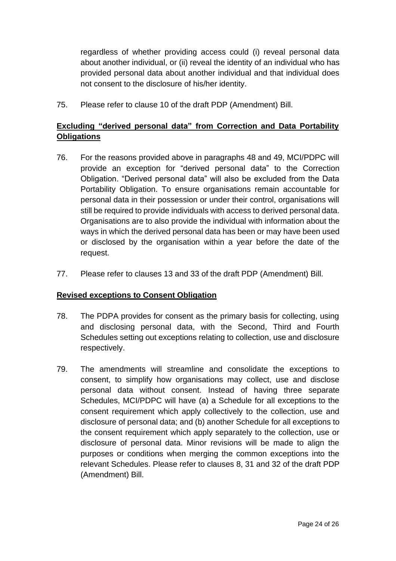regardless of whether providing access could (i) reveal personal data about another individual, or (ii) reveal the identity of an individual who has provided personal data about another individual and that individual does not consent to the disclosure of his/her identity.

75. Please refer to clause 10 of the draft PDP (Amendment) Bill.

# **Excluding "derived personal data" from Correction and Data Portability Obligations**

- 76. For the reasons provided above in paragraphs 48 and 49, MCI/PDPC will provide an exception for "derived personal data" to the Correction Obligation. "Derived personal data" will also be excluded from the Data Portability Obligation. To ensure organisations remain accountable for personal data in their possession or under their control, organisations will still be required to provide individuals with access to derived personal data. Organisations are to also provide the individual with information about the ways in which the derived personal data has been or may have been used or disclosed by the organisation within a year before the date of the request.
- 77. Please refer to clauses 13 and 33 of the draft PDP (Amendment) Bill.

### **Revised exceptions to Consent Obligation**

- 78. The PDPA provides for consent as the primary basis for collecting, using and disclosing personal data, with the Second, Third and Fourth Schedules setting out exceptions relating to collection, use and disclosure respectively.
- 79. The amendments will streamline and consolidate the exceptions to consent, to simplify how organisations may collect, use and disclose personal data without consent. Instead of having three separate Schedules, MCI/PDPC will have (a) a Schedule for all exceptions to the consent requirement which apply collectively to the collection, use and disclosure of personal data; and (b) another Schedule for all exceptions to the consent requirement which apply separately to the collection, use or disclosure of personal data. Minor revisions will be made to align the purposes or conditions when merging the common exceptions into the relevant Schedules. Please refer to clauses 8, 31 and 32 of the draft PDP (Amendment) Bill.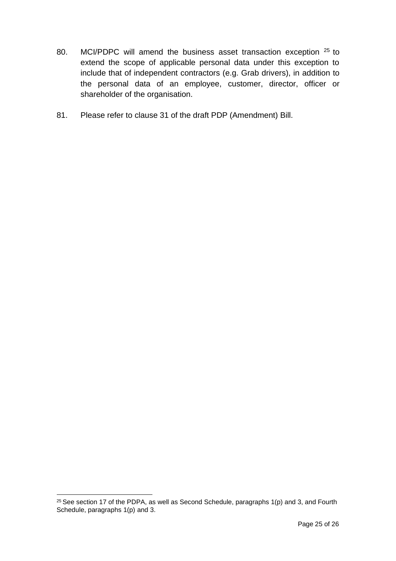- 80. MCI/PDPC will amend the business asset transaction exception <sup>25</sup> to extend the scope of applicable personal data under this exception to include that of independent contractors (e.g. Grab drivers), in addition to the personal data of an employee, customer, director, officer or shareholder of the organisation.
- 81. Please refer to clause 31 of the draft PDP (Amendment) Bill.

 $25$  See section 17 of the PDPA, as well as Second Schedule, paragraphs 1(p) and 3, and Fourth Schedule, paragraphs 1(p) and 3.